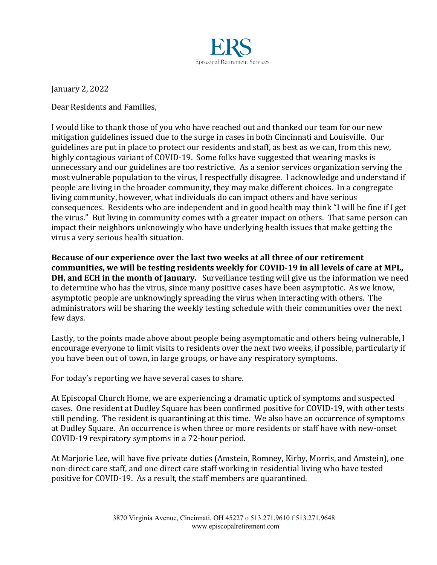

January 2, 2022

Dear Residents and Families.

I would like to thank those of you who have reached out and thanked our team for our new mitigation guidelines issued due to the surge in cases in both Cincinnati and Louisville. Our guidelines are put in place to protect our residents and staff, as best as we can, from this new, highly contagious variant of COVID-19. Some folks have suggested that wearing masks is unnecessary and our guidelines are too restrictive. As a senior services organization serving the most vulnerable population to the virus, I respectfully disagree. I acknowledge and understand if people are living in the broader community, they may make different choices. In a congregate living community, however, what individuals do can impact others and have serious consequences. Residents who are independent and in good health may think "I will be fine if I get the virus." But living in community comes with a greater impact on others. That same person can impact their neighbors unknowingly who have underlying health issues that make getting the virus a very serious health situation.

**Because of our experience over the last two weeks at all three of our retirement** communities, we will be testing residents weekly for COVID-19 in all levels of care at MPL, **DH, and ECH in the month of January.** Surveillance testing will give us the information we need to determine who has the virus, since many positive cases have been asymptotic. As we know, asymptotic people are unknowingly spreading the virus when interacting with others. The administrators will be sharing the weekly testing schedule with their communities over the next few days.

Lastly, to the points made above about people being asymptomatic and others being vulnerable, I encourage everyone to limit visits to residents over the next two weeks, if possible, particularly if you have been out of town, in large groups, or have any respiratory symptoms.

For today's reporting we have several cases to share.

At Episcopal Church Home, we are experiencing a dramatic uptick of symptoms and suspected cases. One resident at Dudley Square has been confirmed positive for COVID-19, with other tests still pending. The resident is quarantining at this time. We also have an occurrence of symptoms at Dudley Square. An occurrence is when three or more residents or staff have with new-onset COVID-19 respiratory symptoms in a 72-hour period.

At Marjorie Lee, will have five private duties (Amstein, Romney, Kirby, Morris, and Amstein), one non-direct care staff, and one direct care staff working in residential living who have tested positive for COVID-19. As a result, the staff members are quarantined.